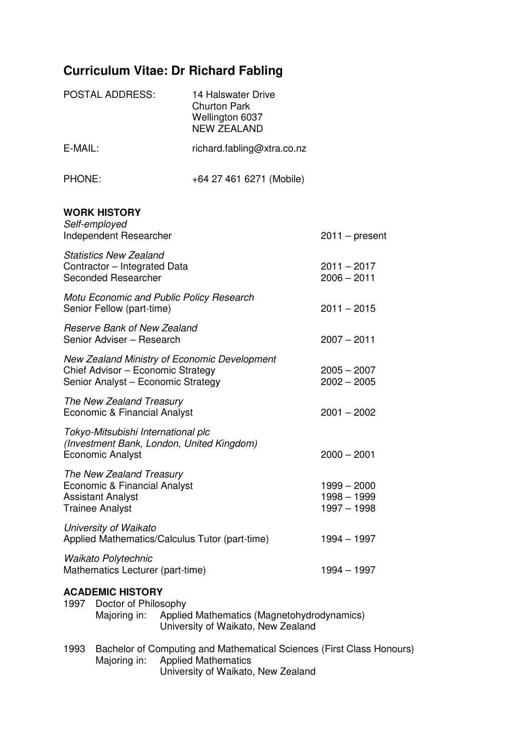# **Curriculum Vitae: Dr Richard Fabling**

|                                                                                                                             | <b>POSTAL ADDRESS:</b>                                                                                                  |                                           | <b>14 Halswater Drive</b><br><b>Churton Park</b><br>Wellington 6037<br><b>NEW ZEALAND</b>                                                 |                                |  |
|-----------------------------------------------------------------------------------------------------------------------------|-------------------------------------------------------------------------------------------------------------------------|-------------------------------------------|-------------------------------------------------------------------------------------------------------------------------------------------|--------------------------------|--|
| E-MAIL:                                                                                                                     |                                                                                                                         |                                           | richard.fabling@xtra.co.nz                                                                                                                |                                |  |
| PHONE:                                                                                                                      |                                                                                                                         |                                           | +64 27 461 6271 (Mobile)                                                                                                                  |                                |  |
|                                                                                                                             | <b>WORK HISTORY</b><br>Self-employed<br>Independent Researcher                                                          |                                           |                                                                                                                                           | $2011 - present$               |  |
| <b>Statistics New Zealand</b><br>Contractor - Integrated Data<br>Seconded Researcher                                        |                                                                                                                         |                                           |                                                                                                                                           | $2011 - 2017$<br>$2006 - 2011$ |  |
|                                                                                                                             | Motu Economic and Public Policy Research<br>Senior Fellow (part-time)                                                   | $2011 - 2015$                             |                                                                                                                                           |                                |  |
|                                                                                                                             | <b>Reserve Bank of New Zealand</b><br>Senior Adviser - Research                                                         | $2007 - 2011$                             |                                                                                                                                           |                                |  |
|                                                                                                                             | New Zealand Ministry of Economic Development<br>Chief Advisor - Economic Strategy<br>Senior Analyst - Economic Strategy | $2005 - 2007$<br>$2002 - 2005$            |                                                                                                                                           |                                |  |
| The New Zealand Treasury<br>Economic & Financial Analyst<br>$2001 - 2002$                                                   |                                                                                                                         |                                           |                                                                                                                                           |                                |  |
| Tokyo-Mitsubishi International plc<br>(Investment Bank, London, United Kingdom)<br><b>Economic Analyst</b><br>$2000 - 2001$ |                                                                                                                         |                                           |                                                                                                                                           |                                |  |
|                                                                                                                             | The New Zealand Treasury<br>Economic & Financial Analyst<br><b>Assistant Analyst</b><br><b>Trainee Analyst</b>          | 1999 - 2000<br>1998 - 1999<br>1997 - 1998 |                                                                                                                                           |                                |  |
| University of Waikato<br>Applied Mathematics/Calculus Tutor (part-time)<br>$1994 - 1997$                                    |                                                                                                                         |                                           |                                                                                                                                           |                                |  |
|                                                                                                                             | Waikato Polytechnic<br>Mathematics Lecturer (part-time)                                                                 |                                           |                                                                                                                                           | 1994 - 1997                    |  |
|                                                                                                                             | <b>ACADEMIC HISTORY</b><br>1997 Doctor of Philosophy<br>Majoring in:                                                    |                                           | Applied Mathematics (Magnetohydrodynamics)<br>University of Waikato, New Zealand                                                          |                                |  |
| 1993                                                                                                                        | Majoring in:                                                                                                            |                                           | Bachelor of Computing and Mathematical Sciences (First Class Honours)<br><b>Applied Mathematics</b><br>University of Waikato, New Zealand |                                |  |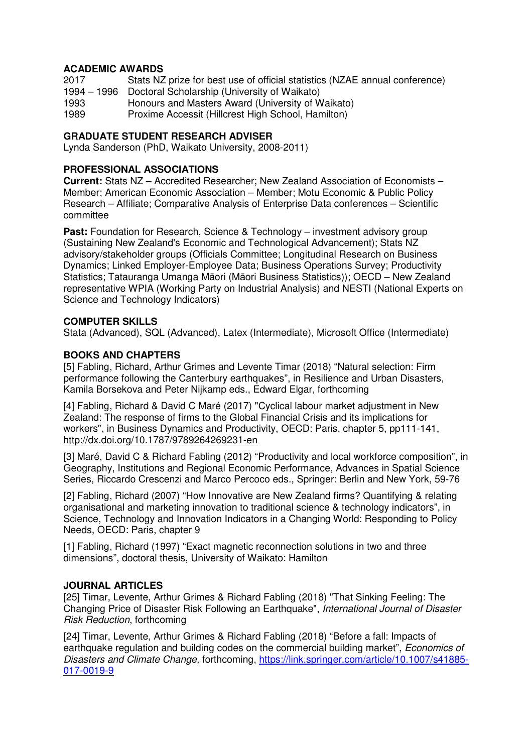## **ACADEMIC AWARDS**

| 2017 | Stats NZ prize for best use of official statistics (NZAE annual conference) |
|------|-----------------------------------------------------------------------------|
|      | 1994 – 1996 Doctoral Scholarship (University of Waikato)                    |
| 1993 | Honours and Masters Award (University of Waikato)                           |
| 1989 | Proxime Accessit (Hillcrest High School, Hamilton)                          |
|      |                                                                             |

## **GRADUATE STUDENT RESEARCH ADVISER**

Lynda Sanderson (PhD, Waikato University, 2008-2011)

### **PROFESSIONAL ASSOCIATIONS**

**Current:** Stats NZ – Accredited Researcher; New Zealand Association of Economists – Member; American Economic Association – Member; Motu Economic & Public Policy Research – Affiliate; Comparative Analysis of Enterprise Data conferences – Scientific committee

**Past:** Foundation for Research, Science & Technology – investment advisory group (Sustaining New Zealand's Economic and Technological Advancement); Stats NZ advisory/stakeholder groups (Officials Committee; Longitudinal Research on Business Dynamics; Linked Employer-Employee Data; Business Operations Survey; Productivity Statistics; Tatauranga Umanga Māori (Māori Business Statistics)); OECD – New Zealand representative WPIA (Working Party on Industrial Analysis) and NESTI (National Experts on Science and Technology Indicators)

### **COMPUTER SKILLS**

Stata (Advanced), SQL (Advanced), Latex (Intermediate), Microsoft Office (Intermediate)

## **BOOKS AND CHAPTERS**

[5] Fabling, Richard, Arthur Grimes and Levente Timar (2018) "Natural selection: Firm performance following the Canterbury earthquakes", in Resilience and Urban Disasters, Kamila Borsekova and Peter Nijkamp eds., Edward Elgar, forthcoming

[4] Fabling, Richard & David C Maré (2017) "Cyclical labour market adjustment in New Zealand: The response of firms to the Global Financial Crisis and its implications for workers", in Business Dynamics and Productivity, OECD: Paris, chapter 5, pp111-141, http://dx.doi.org/10.1787/9789264269231-en

[3] Maré, David C & Richard Fabling (2012) "Productivity and local workforce composition", in Geography, Institutions and Regional Economic Performance, Advances in Spatial Science Series, Riccardo Crescenzi and Marco Percoco eds., Springer: Berlin and New York, 59-76

[2] Fabling, Richard (2007) "How Innovative are New Zealand firms? Quantifying & relating organisational and marketing innovation to traditional science & technology indicators", in Science, Technology and Innovation Indicators in a Changing World: Responding to Policy Needs, OECD: Paris, chapter 9

[1] Fabling, Richard (1997) "Exact magnetic reconnection solutions in two and three dimensions", doctoral thesis, University of Waikato: Hamilton

### **JOURNAL ARTICLES**

[25] Timar, Levente, Arthur Grimes & Richard Fabling (2018) "That Sinking Feeling: The Changing Price of Disaster Risk Following an Earthquake", International Journal of Disaster Risk Reduction, forthcoming

[24] Timar, Levente, Arthur Grimes & Richard Fabling (2018) "Before a fall: Impacts of earthquake regulation and building codes on the commercial building market", *Economics of* Disasters and Climate Change, forthcoming, https://link.springer.com/article/10.1007/s41885- 017-0019-9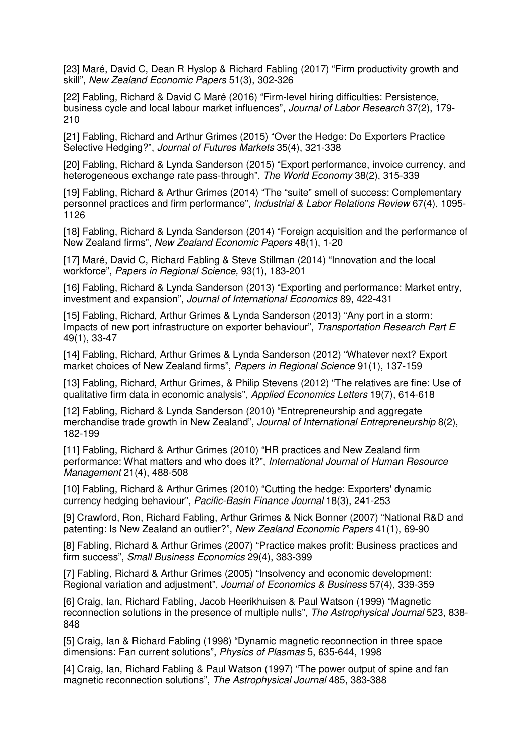[23] Maré, David C, Dean R Hyslop & Richard Fabling (2017) "Firm productivity growth and skill", New Zealand Economic Papers 51(3), 302-326

[22] Fabling, Richard & David C Maré (2016) "Firm-level hiring difficulties: Persistence, business cycle and local labour market influences", Journal of Labor Research 37(2), 179- 210

[21] Fabling, Richard and Arthur Grimes (2015) "Over the Hedge: Do Exporters Practice Selective Hedging?", Journal of Futures Markets 35(4), 321-338

[20] Fabling, Richard & Lynda Sanderson (2015) "Export performance, invoice currency, and heterogeneous exchange rate pass-through", The World Economy 38(2), 315-339

[19] Fabling, Richard & Arthur Grimes (2014) "The "suite" smell of success: Complementary personnel practices and firm performance", Industrial & Labor Relations Review 67(4), 1095- 1126

[18] Fabling, Richard & Lynda Sanderson (2014) "Foreign acquisition and the performance of New Zealand firms", New Zealand Economic Papers 48(1), 1-20

[17] Maré, David C, Richard Fabling & Steve Stillman (2014) "Innovation and the local workforce", Papers in Regional Science, 93(1), 183-201

[16] Fabling, Richard & Lynda Sanderson (2013) "Exporting and performance: Market entry, investment and expansion", Journal of International Economics 89, 422-431

[15] Fabling, Richard, Arthur Grimes & Lynda Sanderson (2013) "Any port in a storm: Impacts of new port infrastructure on exporter behaviour", Transportation Research Part E 49(1), 33-47

[14] Fabling, Richard, Arthur Grimes & Lynda Sanderson (2012) "Whatever next? Export market choices of New Zealand firms", Papers in Regional Science 91(1), 137-159

[13] Fabling, Richard, Arthur Grimes, & Philip Stevens (2012) "The relatives are fine: Use of qualitative firm data in economic analysis", Applied Economics Letters 19(7), 614-618

[12] Fabling, Richard & Lynda Sanderson (2010) "Entrepreneurship and aggregate merchandise trade growth in New Zealand", Journal of International Entrepreneurship 8(2), 182-199

[11] Fabling, Richard & Arthur Grimes (2010) "HR practices and New Zealand firm performance: What matters and who does it?", International Journal of Human Resource Management 21(4), 488-508

[10] Fabling, Richard & Arthur Grimes (2010) "Cutting the hedge: Exporters' dynamic currency hedging behaviour", Pacific-Basin Finance Journal 18(3), 241-253

[9] Crawford, Ron, Richard Fabling, Arthur Grimes & Nick Bonner (2007) "National R&D and patenting: Is New Zealand an outlier?", New Zealand Economic Papers 41(1), 69-90

[8] Fabling, Richard & Arthur Grimes (2007) "Practice makes profit: Business practices and firm success", Small Business Economics 29(4), 383-399

[7] Fabling, Richard & Arthur Grimes (2005) "Insolvency and economic development: Regional variation and adjustment", Journal of Economics & Business 57(4), 339-359

[6] Craig, Ian, Richard Fabling, Jacob Heerikhuisen & Paul Watson (1999) "Magnetic reconnection solutions in the presence of multiple nulls", The Astrophysical Journal 523, 838- 848

[5] Craig, Ian & Richard Fabling (1998) "Dynamic magnetic reconnection in three space dimensions: Fan current solutions", Physics of Plasmas 5, 635-644, 1998

[4] Craig, Ian, Richard Fabling & Paul Watson (1997) "The power output of spine and fan magnetic reconnection solutions", The Astrophysical Journal 485, 383-388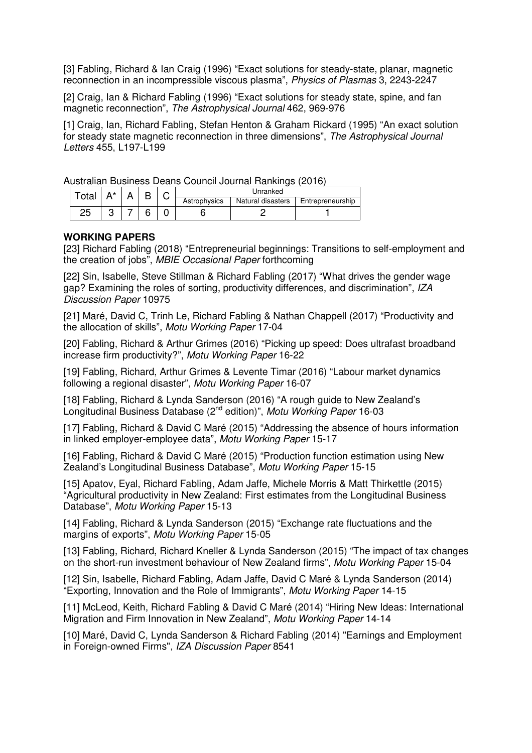[3] Fabling, Richard & Ian Craig (1996) "Exact solutions for steady-state, planar, magnetic reconnection in an incompressible viscous plasma", Physics of Plasmas 3, 2243-2247

[2] Craig, Ian & Richard Fabling (1996) "Exact solutions for steady state, spine, and fan magnetic reconnection", The Astrophysical Journal 462, 969-976

[1] Craig, Ian, Richard Fabling, Stefan Henton & Graham Rickard (1995) "An exact solution for steady state magnetic reconnection in three dimensions", The Astrophysical Journal Letters 455, L197-L199

Australian Business Deans Council Journal Rankings (2016)

| <sup>-</sup> otai |  | U | Unranked     |                   |                  |
|-------------------|--|---|--------------|-------------------|------------------|
|                   |  |   | Astrophysics | Natural disasters | Entrepreneurship |
| っに<br>دے          |  |   |              |                   |                  |

#### **WORKING PAPERS**

[23] Richard Fabling (2018) "Entrepreneurial beginnings: Transitions to self-employment and the creation of jobs", MBIE Occasional Paper forthcoming

[22] Sin, Isabelle, Steve Stillman & Richard Fabling (2017) "What drives the gender wage gap? Examining the roles of sorting, productivity differences, and discrimination", IZA Discussion Paper 10975

[21] Maré, David C, Trinh Le, Richard Fabling & Nathan Chappell (2017) "Productivity and the allocation of skills", Motu Working Paper 17-04

[20] Fabling, Richard & Arthur Grimes (2016) "Picking up speed: Does ultrafast broadband increase firm productivity?", Motu Working Paper 16-22

[19] Fabling, Richard, Arthur Grimes & Levente Timar (2016) "Labour market dynamics following a regional disaster", Motu Working Paper 16-07

[18] Fabling, Richard & Lynda Sanderson (2016) "A rough guide to New Zealand's Longitudinal Business Database (2<sup>nd</sup> edition)", Motu Working Paper 16-03

[17] Fabling, Richard & David C Maré (2015) "Addressing the absence of hours information in linked employer-employee data", Motu Working Paper 15-17

[16] Fabling, Richard & David C Maré (2015) "Production function estimation using New Zealand's Longitudinal Business Database", Motu Working Paper 15-15

[15] Apatov, Eyal, Richard Fabling, Adam Jaffe, Michele Morris & Matt Thirkettle (2015) "Agricultural productivity in New Zealand: First estimates from the Longitudinal Business Database", Motu Working Paper 15-13

[14] Fabling, Richard & Lynda Sanderson (2015) "Exchange rate fluctuations and the margins of exports", Motu Working Paper 15-05

[13] Fabling, Richard, Richard Kneller & Lynda Sanderson (2015) "The impact of tax changes on the short-run investment behaviour of New Zealand firms", Motu Working Paper 15-04

[12] Sin, Isabelle, Richard Fabling, Adam Jaffe, David C Maré & Lynda Sanderson (2014) "Exporting, Innovation and the Role of Immigrants", Motu Working Paper 14-15

[11] McLeod, Keith, Richard Fabling & David C Maré (2014) "Hiring New Ideas: International Migration and Firm Innovation in New Zealand", Motu Working Paper 14-14

[10] Maré, David C, Lynda Sanderson & Richard Fabling (2014) "Earnings and Employment in Foreign-owned Firms", IZA Discussion Paper 8541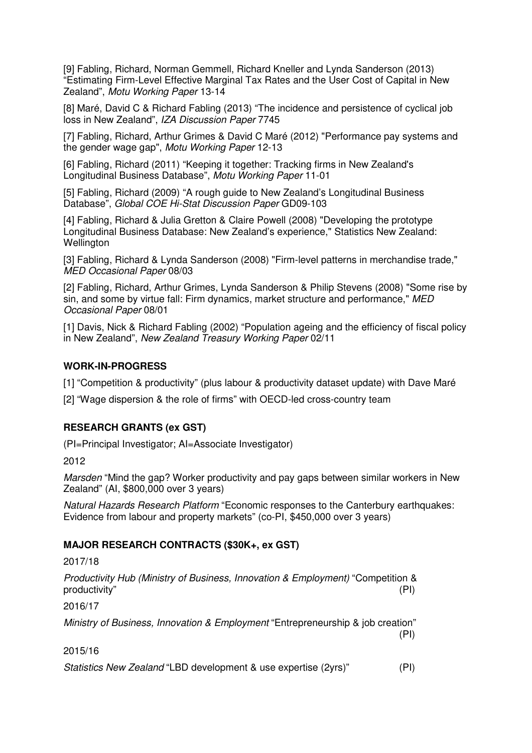[9] Fabling, Richard, Norman Gemmell, Richard Kneller and Lynda Sanderson (2013) "Estimating Firm-Level Effective Marginal Tax Rates and the User Cost of Capital in New Zealand", Motu Working Paper 13-14

[8] Maré, David C & Richard Fabling (2013) "The incidence and persistence of cyclical job loss in New Zealand", IZA Discussion Paper 7745

[7] Fabling, Richard, Arthur Grimes & David C Maré (2012) "Performance pay systems and the gender wage gap", Motu Working Paper 12-13

[6] Fabling, Richard (2011) "Keeping it together: Tracking firms in New Zealand's Longitudinal Business Database", Motu Working Paper 11-01

[5] Fabling, Richard (2009) "A rough guide to New Zealand's Longitudinal Business Database", Global COE Hi-Stat Discussion Paper GD09-103

[4] Fabling, Richard & Julia Gretton & Claire Powell (2008) "Developing the prototype Longitudinal Business Database: New Zealand's experience," Statistics New Zealand: Wellington

[3] Fabling, Richard & Lynda Sanderson (2008) "Firm-level patterns in merchandise trade," MED Occasional Paper 08/03

[2] Fabling, Richard, Arthur Grimes, Lynda Sanderson & Philip Stevens (2008) "Some rise by sin, and some by virtue fall: Firm dynamics, market structure and performance," MED Occasional Paper 08/01

[1] Davis, Nick & Richard Fabling (2002) "Population ageing and the efficiency of fiscal policy in New Zealand", New Zealand Treasury Working Paper 02/11

### **WORK-IN-PROGRESS**

[1] "Competition & productivity" (plus labour & productivity dataset update) with Dave Maré

[2] "Wage dispersion & the role of firms" with OECD-led cross-country team

### **RESEARCH GRANTS (ex GST)**

(PI=Principal Investigator; AI=Associate Investigator)

2012

Marsden "Mind the gap? Worker productivity and pay gaps between similar workers in New Zealand" (AI, \$800,000 over 3 years)

Natural Hazards Research Platform "Economic responses to the Canterbury earthquakes: Evidence from labour and property markets" (co-PI, \$450,000 over 3 years)

### **MAJOR RESEARCH CONTRACTS (\$30K+, ex GST)**

2017/18

Productivity Hub (Ministry of Business, Innovation & Employment) "Competition & productivity" (PI)

2016/17

Ministry of Business, Innovation & Employment "Entrepreneurship & job creation"  $(PI)$ 

2015/16

Statistics New Zealand "LBD development & use expertise (2yrs)" (PI)